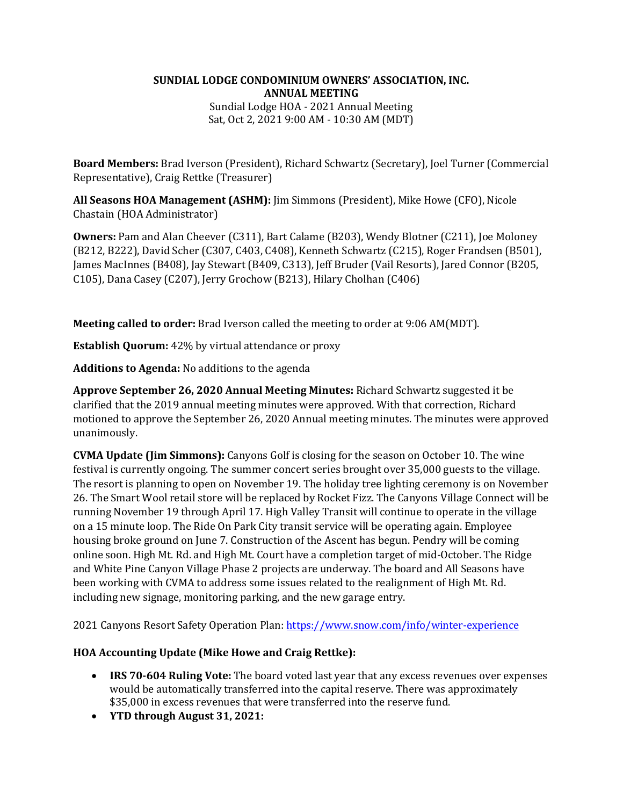## **SUNDIAL LODGE CONDOMINIUM OWNERS' ASSOCIATION, INC. ANNUAL MEETING** Sundial Lodge HOA - 2021 Annual Meeting Sat, Oct 2, 2021 9:00 AM - 10:30 AM (MDT)

**Board Members:** Brad Iverson (President), Richard Schwartz (Secretary), Joel Turner (Commercial Representative), Craig Rettke (Treasurer)

**All Seasons HOA Management (ASHM):** Jim Simmons (President), Mike Howe (CFO), Nicole Chastain (HOA Administrator)

**Owners:** Pam and Alan Cheever (C311), Bart Calame (B203), Wendy Blotner (C211), Joe Moloney (B212, B222), David Scher (C307, C403, C408), Kenneth Schwartz (C215), Roger Frandsen (B501), James MacInnes (B408), Jay Stewart (B409, C313), Jeff Bruder (Vail Resorts), Jared Connor (B205, C105), Dana Casey (C207), Jerry Grochow (B213), Hilary Cholhan (C406)

**Meeting called to order:** Brad Iverson called the meeting to order at 9:06 AM(MDT).

**Establish Quorum:** 42% by virtual attendance or proxy

**Additions to Agenda:** No additions to the agenda

**Approve September 26, 2020 Annual Meeting Minutes:** Richard Schwartz suggested it be clarified that the 2019 annual meeting minutes were approved. With that correction, Richard motioned to approve the September 26, 2020 Annual meeting minutes. The minutes were approved unanimously.

**CVMA Update (Jim Simmons):** Canyons Golf is closing for the season on October 10. The wine festival is currently ongoing. The summer concert series brought over 35,000 guests to the village. The resort is planning to open on November 19. The holiday tree lighting ceremony is on November 26. The Smart Wool retail store will be replaced by Rocket Fizz. The Canyons Village Connect will be running November 19 through April 17. High Valley Transit will continue to operate in the village on a 15 minute loop. The Ride On Park City transit service will be operating again. Employee housing broke ground on June 7. Construction of the Ascent has begun. Pendry will be coming online soon. High Mt. Rd. and High Mt. Court have a completion target of mid-October. The Ridge and White Pine Canyon Village Phase 2 projects are underway. The board and All Seasons have been working with CVMA to address some issues related to the realignment of High Mt. Rd. including new signage, monitoring parking, and the new garage entry.

2021 Canyons Resort Safety Operation Plan[: https://www.snow.com/info/winter-experience](about:blank)

## **HOA Accounting Update (Mike Howe and Craig Rettke):**

- **IRS 70-604 Ruling Vote:** The board voted last year that any excess revenues over expenses would be automatically transferred into the capital reserve. There was approximately \$35,000 in excess revenues that were transferred into the reserve fund.
- **YTD through August 31, 2021:**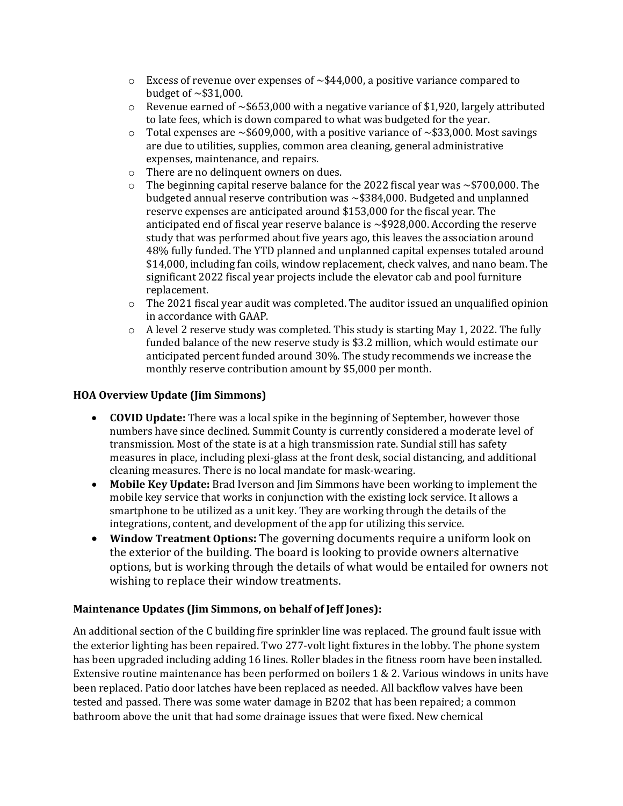- $\circ$  Excess of revenue over expenses of  $\sim$  \$44,000, a positive variance compared to budget of  $\sim$ \$31,000.
- $\circ$  Revenue earned of ~\$653,000 with a negative variance of \$1,920, largely attributed to late fees, which is down compared to what was budgeted for the year.
- $\circ$  Total expenses are  $\sim$  \$609,000, with a positive variance of  $\sim$  \$33,000. Most savings are due to utilities, supplies, common area cleaning, general administrative expenses, maintenance, and repairs.
- o There are no delinquent owners on dues.
- $\circ$  The beginning capital reserve balance for the 2022 fiscal year was  $\sim$ \$700,000. The budgeted annual reserve contribution was ~\$384,000. Budgeted and unplanned reserve expenses are anticipated around \$153,000 for the fiscal year. The anticipated end of fiscal year reserve balance is  $\sim$ \$928,000. According the reserve study that was performed about five years ago, this leaves the association around 48% fully funded. The YTD planned and unplanned capital expenses totaled around \$14,000, including fan coils, window replacement, check valves, and nano beam. The significant 2022 fiscal year projects include the elevator cab and pool furniture replacement.
- $\circ$  The 2021 fiscal year audit was completed. The auditor issued an unqualified opinion in accordance with GAAP.
- $\circ$  A level 2 reserve study was completed. This study is starting May 1, 2022. The fully funded balance of the new reserve study is \$3.2 million, which would estimate our anticipated percent funded around 30%. The study recommends we increase the monthly reserve contribution amount by \$5,000 per month.

## **HOA Overview Update (Jim Simmons)**

- **COVID Update:** There was a local spike in the beginning of September, however those numbers have since declined. Summit County is currently considered a moderate level of transmission. Most of the state is at a high transmission rate. Sundial still has safety measures in place, including plexi-glass at the front desk, social distancing, and additional cleaning measures. There is no local mandate for mask-wearing.
- **Mobile Key Update:** Brad Iverson and Jim Simmons have been working to implement the mobile key service that works in conjunction with the existing lock service. It allows a smartphone to be utilized as a unit key. They are working through the details of the integrations, content, and development of the app for utilizing this service.
- **Window Treatment Options:** The governing documents require a uniform look on the exterior of the building. The board is looking to provide owners alternative options, but is working through the details of what would be entailed for owners not wishing to replace their window treatments.

## **Maintenance Updates (Jim Simmons, on behalf of Jeff Jones):**

An additional section of the C building fire sprinkler line was replaced. The ground fault issue with the exterior lighting has been repaired. Two 277-volt light fixtures in the lobby. The phone system has been upgraded including adding 16 lines. Roller blades in the fitness room have been installed. Extensive routine maintenance has been performed on boilers 1 & 2. Various windows in units have been replaced. Patio door latches have been replaced as needed. All backflow valves have been tested and passed. There was some water damage in B202 that has been repaired; a common bathroom above the unit that had some drainage issues that were fixed. New chemical